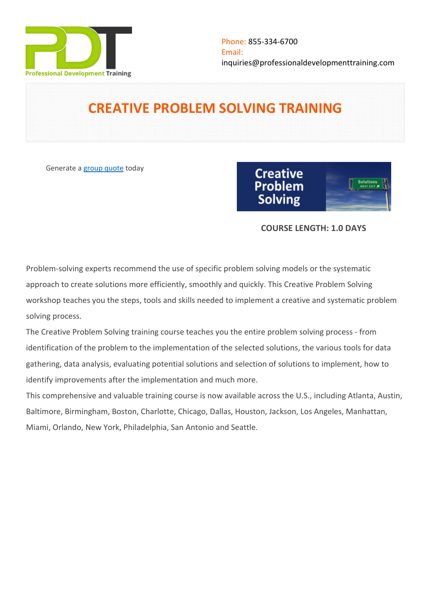

# **CREATIVE PROBLEM SOLVING TRAINING**

Generate a [group quote](https://professionaldevelopmenttraining.com/inhouse-training-quote?cse=PDT0010) today



# **COURSE LENGTH: 1.0 DAYS**

Problem-solving experts recommend the use of specific problem solving models or the systematic approach to create solutions more efficiently, smoothly and quickly. This Creative Problem Solving workshop teaches you the steps, tools and skills needed to implement a creative and systematic problem solving process.

The Creative Problem Solving training course teaches you the entire problem solving process - from identification of the problem to the implementation of the selected solutions, the various tools for data gathering, data analysis, evaluating potential solutions and selection of solutions to implement, how to identify improvements after the implementation and much more.

This comprehensive and valuable training course is now available across the U.S., including Atlanta, Austin, Baltimore, Birmingham, Boston, Charlotte, Chicago, Dallas, Houston, Jackson, Los Angeles, Manhattan, Miami, Orlando, New York, Philadelphia, San Antonio and Seattle.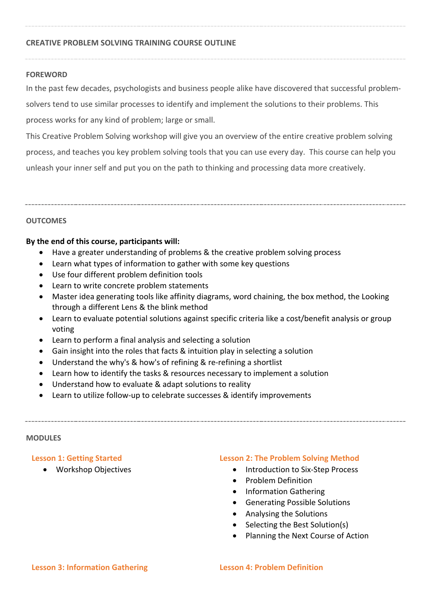# **CREATIVE PROBLEM SOLVING TRAINING COURSE OUTLINE**

#### **FOREWORD**

In the past few decades, psychologists and business people alike have discovered that successful problemsolvers tend to use similar processes to identify and implement the solutions to their problems. This process works for any kind of problem; large or small.

This Creative Problem Solving workshop will give you an overview of the entire creative problem solving process, and teaches you key problem solving tools that you can use every day. This course can help you unleash your inner self and put you on the path to thinking and processing data more creatively.

## **OUTCOMES**

## **By the end of this course, participants will:**

- Have a greater understanding of problems & the creative problem solving process
- Learn what types of information to gather with some key questions
- Use four different problem definition tools
- Learn to write concrete problem statements
- Master idea generating tools like affinity diagrams, word chaining, the box method, the Looking through a different Lens & the blink method
- Learn to evaluate potential solutions against specific criteria like a cost/benefit analysis or group voting
- Learn to perform a final analysis and selecting a solution
- Gain insight into the roles that facts & intuition play in selecting a solution
- Understand the why's & how's of refining & re-refining a shortlist
- Learn how to identify the tasks & resources necessary to implement a solution
- Understand how to evaluate & adapt solutions to reality
- Learn to utilize follow-up to celebrate successes & identify improvements

#### **MODULES**

#### **Lesson 1: Getting Started**

Workshop Objectives

# **Lesson 2: The Problem Solving Method**

- Introduction to Six-Step Process
- Problem Definition
- Information Gathering
- Generating Possible Solutions
- Analysing the Solutions
- Selecting the Best Solution(s)
- Planning the Next Course of Action